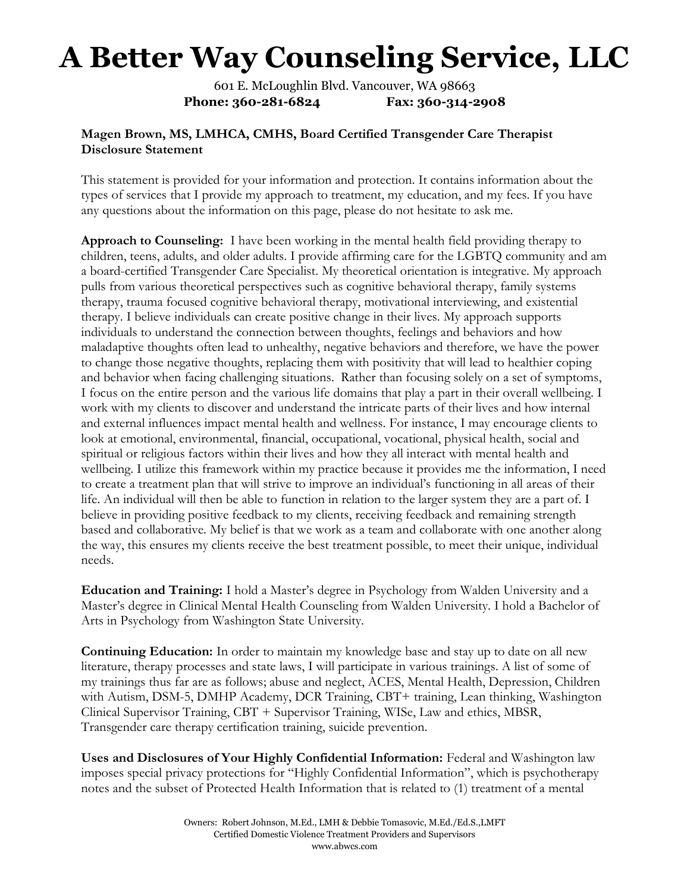601 E. McLoughlin Blvd. Vancouver, WA 98663 Phone: 360-281-6824 Fax: 360-314-2908

### Magen Brown, MS, LMHCA, CMHS, Board Certified Transgender Care Therapist Disclosure Statement

This statement is provided for your information and protection. It contains information about the types of services that I provide my approach to treatment, my education, and my fees. If you have any questions about the information on this page, please do not hesitate to ask me.

Approach to Counseling: I have been working in the mental health field providing therapy to children, teens, adults, and older adults. I provide affirming care for the LGBTQ community and am a board-certified Transgender Care Specialist. My theoretical orientation is integrative. My approach pulls from various theoretical perspectives such as cognitive behavioral therapy, family systems therapy, trauma focused cognitive behavioral therapy, motivational interviewing, and existential therapy. I believe individuals can create positive change in their lives. My approach supports individuals to understand the connection between thoughts, feelings and behaviors and how maladaptive thoughts often lead to unhealthy, negative behaviors and therefore, we have the power to change those negative thoughts, replacing them with positivity that will lead to healthier coping and behavior when facing challenging situations. Rather than focusing solely on a set of symptoms, I focus on the entire person and the various life domains that play a part in their overall wellbeing. I work with my clients to discover and understand the intricate parts of their lives and how internal and external influences impact mental health and wellness. For instance, I may encourage clients to look at emotional, environmental, financial, occupational, vocational, physical health, social and spiritual or religious factors within their lives and how they all interact with mental health and wellbeing. I utilize this framework within my practice because it provides me the information, I need to create a treatment plan that will strive to improve an individual's functioning in all areas of their life. An individual will then be able to function in relation to the larger system they are a part of. I believe in providing positive feedback to my clients, receiving feedback and remaining strength based and collaborative. My belief is that we work as a team and collaborate with one another along the way, this ensures my clients receive the best treatment possible, to meet their unique, individual needs.

Education and Training: I hold a Master's degree in Psychology from Walden University and a Master's degree in Clinical Mental Health Counseling from Walden University. I hold a Bachelor of Arts in Psychology from Washington State University.

Continuing Education: In order to maintain my knowledge base and stay up to date on all new literature, therapy processes and state laws, I will participate in various trainings. A list of some of my trainings thus far are as follows; abuse and neglect, ACES, Mental Health, Depression, Children with Autism, DSM-5, DMHP Academy, DCR Training, CBT+ training, Lean thinking, Washington Clinical Supervisor Training, CBT + Supervisor Training, WISe, Law and ethics, MBSR, Transgender care therapy certification training, suicide prevention.

Uses and Disclosures of Your Highly Confidential Information: Federal and Washington law imposes special privacy protections for "Highly Confidential Information", which is psychotherapy notes and the subset of Protected Health Information that is related to (1) treatment of a mental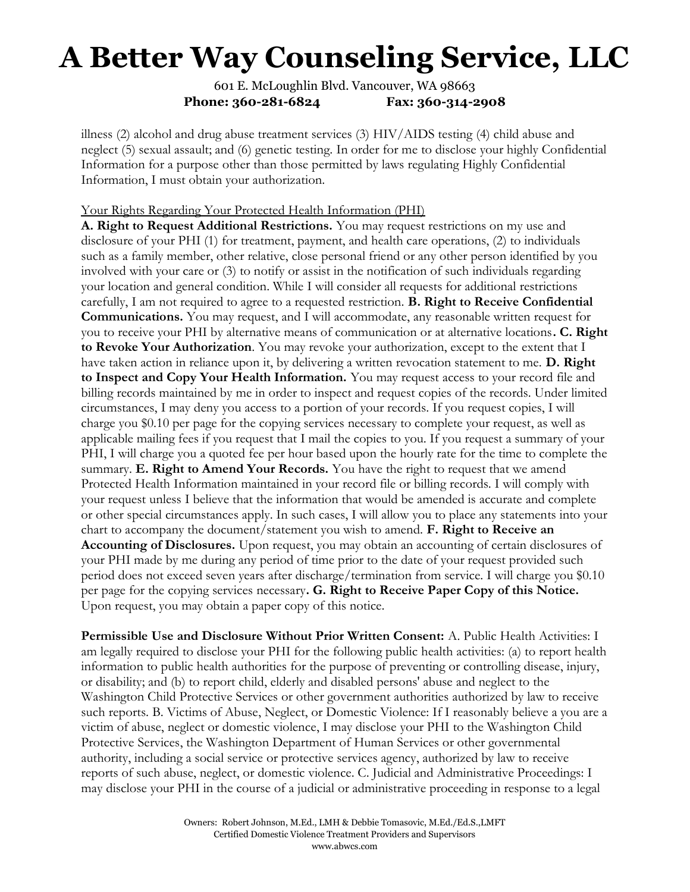601 E. McLoughlin Blvd. Vancouver, WA 98663 Phone: 360-281-6824 Fax: 360-314-2908

illness (2) alcohol and drug abuse treatment services (3) HIV/AIDS testing (4) child abuse and neglect (5) sexual assault; and (6) genetic testing. In order for me to disclose your highly Confidential Information for a purpose other than those permitted by laws regulating Highly Confidential Information, I must obtain your authorization.

#### Your Rights Regarding Your Protected Health Information (PHI)

A. Right to Request Additional Restrictions. You may request restrictions on my use and disclosure of your PHI (1) for treatment, payment, and health care operations, (2) to individuals such as a family member, other relative, close personal friend or any other person identified by you involved with your care or (3) to notify or assist in the notification of such individuals regarding your location and general condition. While I will consider all requests for additional restrictions carefully, I am not required to agree to a requested restriction. B. Right to Receive Confidential Communications. You may request, and I will accommodate, any reasonable written request for you to receive your PHI by alternative means of communication or at alternative locations. C. Right to Revoke Your Authorization. You may revoke your authorization, except to the extent that I have taken action in reliance upon it, by delivering a written revocation statement to me. **D. Right** to Inspect and Copy Your Health Information. You may request access to your record file and billing records maintained by me in order to inspect and request copies of the records. Under limited circumstances, I may deny you access to a portion of your records. If you request copies, I will charge you \$0.10 per page for the copying services necessary to complete your request, as well as applicable mailing fees if you request that I mail the copies to you. If you request a summary of your PHI, I will charge you a quoted fee per hour based upon the hourly rate for the time to complete the summary. **E. Right to Amend Your Records.** You have the right to request that we amend Protected Health Information maintained in your record file or billing records. I will comply with your request unless I believe that the information that would be amended is accurate and complete or other special circumstances apply. In such cases, I will allow you to place any statements into your chart to accompany the document/statement you wish to amend. F. Right to Receive an Accounting of Disclosures. Upon request, you may obtain an accounting of certain disclosures of your PHI made by me during any period of time prior to the date of your request provided such period does not exceed seven years after discharge/termination from service. I will charge you \$0.10 per page for the copying services necessary. G. Right to Receive Paper Copy of this Notice. Upon request, you may obtain a paper copy of this notice.

Permissible Use and Disclosure Without Prior Written Consent: A. Public Health Activities: I am legally required to disclose your PHI for the following public health activities: (a) to report health information to public health authorities for the purpose of preventing or controlling disease, injury, or disability; and (b) to report child, elderly and disabled persons' abuse and neglect to the Washington Child Protective Services or other government authorities authorized by law to receive such reports. B. Victims of Abuse, Neglect, or Domestic Violence: If I reasonably believe a you are a victim of abuse, neglect or domestic violence, I may disclose your PHI to the Washington Child Protective Services, the Washington Department of Human Services or other governmental authority, including a social service or protective services agency, authorized by law to receive reports of such abuse, neglect, or domestic violence. C. Judicial and Administrative Proceedings: I may disclose your PHI in the course of a judicial or administrative proceeding in response to a legal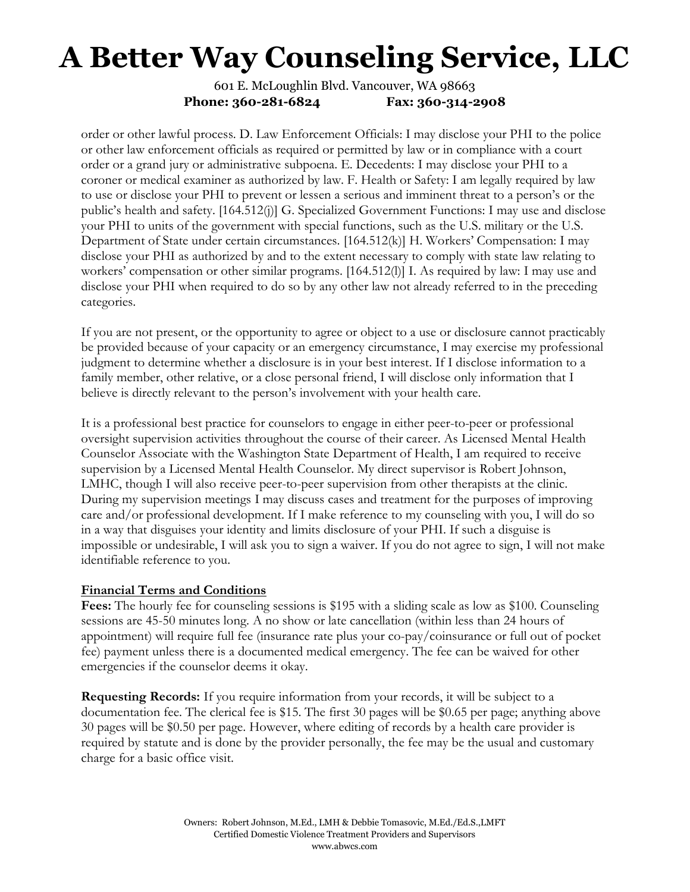601 E. McLoughlin Blvd. Vancouver, WA 98663 Phone: 360-281-6824 Fax: 360-314-2908

order or other lawful process. D. Law Enforcement Officials: I may disclose your PHI to the police or other law enforcement officials as required or permitted by law or in compliance with a court order or a grand jury or administrative subpoena. E. Decedents: I may disclose your PHI to a coroner or medical examiner as authorized by law. F. Health or Safety: I am legally required by law to use or disclose your PHI to prevent or lessen a serious and imminent threat to a person's or the public's health and safety. [164.512(j)] G. Specialized Government Functions: I may use and disclose your PHI to units of the government with special functions, such as the U.S. military or the U.S. Department of State under certain circumstances. [164.512(k)] H. Workers' Compensation: I may disclose your PHI as authorized by and to the extent necessary to comply with state law relating to workers' compensation or other similar programs. [164.512(l)] I. As required by law: I may use and disclose your PHI when required to do so by any other law not already referred to in the preceding categories.

If you are not present, or the opportunity to agree or object to a use or disclosure cannot practicably be provided because of your capacity or an emergency circumstance, I may exercise my professional judgment to determine whether a disclosure is in your best interest. If I disclose information to a family member, other relative, or a close personal friend, I will disclose only information that I believe is directly relevant to the person's involvement with your health care.

It is a professional best practice for counselors to engage in either peer-to-peer or professional oversight supervision activities throughout the course of their career. As Licensed Mental Health Counselor Associate with the Washington State Department of Health, I am required to receive supervision by a Licensed Mental Health Counselor. My direct supervisor is Robert Johnson, LMHC, though I will also receive peer-to-peer supervision from other therapists at the clinic. During my supervision meetings I may discuss cases and treatment for the purposes of improving care and/or professional development. If I make reference to my counseling with you, I will do so in a way that disguises your identity and limits disclosure of your PHI. If such a disguise is impossible or undesirable, I will ask you to sign a waiver. If you do not agree to sign, I will not make identifiable reference to you.

#### Financial Terms and Conditions

Fees: The hourly fee for counseling sessions is \$195 with a sliding scale as low as \$100. Counseling sessions are 45-50 minutes long. A no show or late cancellation (within less than 24 hours of appointment) will require full fee (insurance rate plus your co-pay/coinsurance or full out of pocket fee) payment unless there is a documented medical emergency. The fee can be waived for other emergencies if the counselor deems it okay.

Requesting Records: If you require information from your records, it will be subject to a documentation fee. The clerical fee is \$15. The first 30 pages will be \$0.65 per page; anything above 30 pages will be \$0.50 per page. However, where editing of records by a health care provider is required by statute and is done by the provider personally, the fee may be the usual and customary charge for a basic office visit.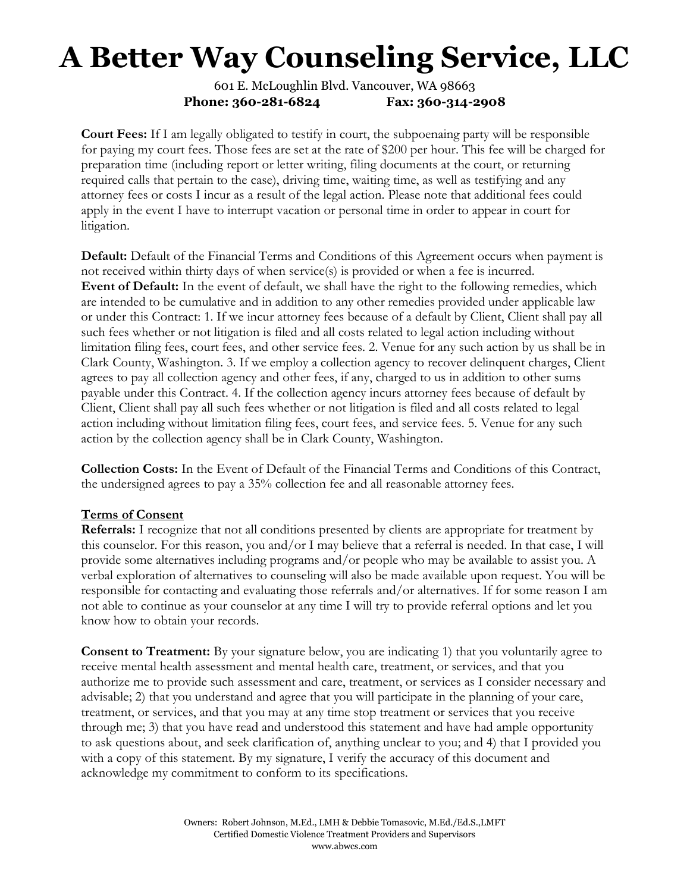601 E. McLoughlin Blvd. Vancouver, WA 98663 Phone: 360-281-6824 Fax: 360-314-2908

Court Fees: If I am legally obligated to testify in court, the subpoenaing party will be responsible for paying my court fees. Those fees are set at the rate of \$200 per hour. This fee will be charged for preparation time (including report or letter writing, filing documents at the court, or returning required calls that pertain to the case), driving time, waiting time, as well as testifying and any attorney fees or costs I incur as a result of the legal action. Please note that additional fees could apply in the event I have to interrupt vacation or personal time in order to appear in court for litigation.

Default: Default of the Financial Terms and Conditions of this Agreement occurs when payment is not received within thirty days of when service(s) is provided or when a fee is incurred. Event of Default: In the event of default, we shall have the right to the following remedies, which are intended to be cumulative and in addition to any other remedies provided under applicable law or under this Contract: 1. If we incur attorney fees because of a default by Client, Client shall pay all such fees whether or not litigation is filed and all costs related to legal action including without limitation filing fees, court fees, and other service fees. 2. Venue for any such action by us shall be in Clark County, Washington. 3. If we employ a collection agency to recover delinquent charges, Client agrees to pay all collection agency and other fees, if any, charged to us in addition to other sums payable under this Contract. 4. If the collection agency incurs attorney fees because of default by Client, Client shall pay all such fees whether or not litigation is filed and all costs related to legal action including without limitation filing fees, court fees, and service fees. 5. Venue for any such action by the collection agency shall be in Clark County, Washington.

Collection Costs: In the Event of Default of the Financial Terms and Conditions of this Contract, the undersigned agrees to pay a 35% collection fee and all reasonable attorney fees.

#### Terms of Consent

Referrals: I recognize that not all conditions presented by clients are appropriate for treatment by this counselor. For this reason, you and/or I may believe that a referral is needed. In that case, I will provide some alternatives including programs and/or people who may be available to assist you. A verbal exploration of alternatives to counseling will also be made available upon request. You will be responsible for contacting and evaluating those referrals and/or alternatives. If for some reason I am not able to continue as your counselor at any time I will try to provide referral options and let you know how to obtain your records.

**Consent to Treatment:** By your signature below, you are indicating 1) that you voluntarily agree to receive mental health assessment and mental health care, treatment, or services, and that you authorize me to provide such assessment and care, treatment, or services as I consider necessary and advisable; 2) that you understand and agree that you will participate in the planning of your care, treatment, or services, and that you may at any time stop treatment or services that you receive through me; 3) that you have read and understood this statement and have had ample opportunity to ask questions about, and seek clarification of, anything unclear to you; and 4) that I provided you with a copy of this statement. By my signature, I verify the accuracy of this document and acknowledge my commitment to conform to its specifications.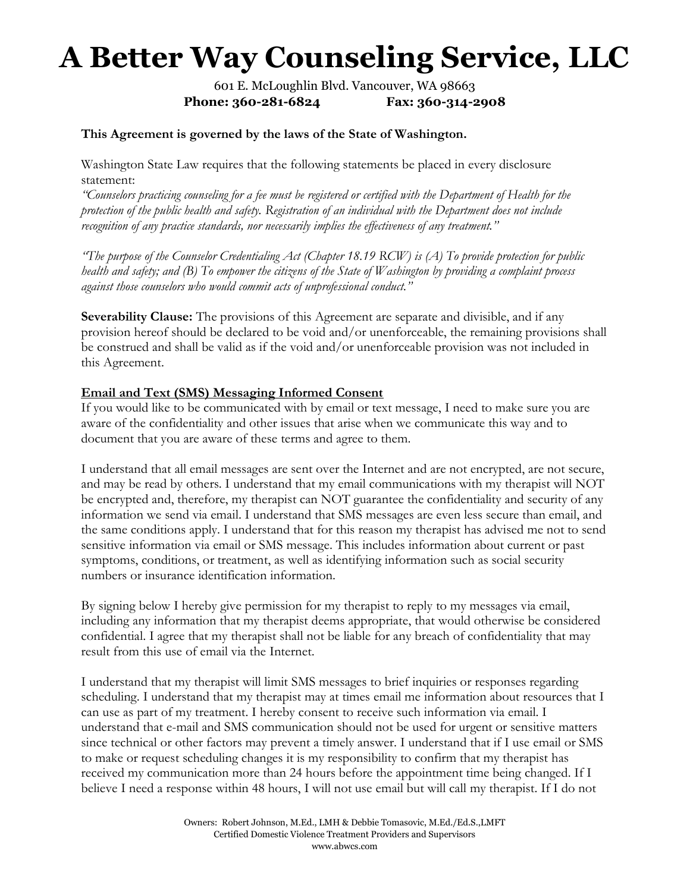601 E. McLoughlin Blvd. Vancouver, WA 98663 Phone: 360-281-6824 Fax: 360-314-2908

#### This Agreement is governed by the laws of the State of Washington.

Washington State Law requires that the following statements be placed in every disclosure statement:

"Counselors practicing counseling for a fee must be registered or certified with the Department of Health for the protection of the public health and safety. Registration of an individual with the Department does not include recognition of any practice standards, nor necessarily implies the effectiveness of any treatment."

"The purpose of the Counselor Credentialing Act (Chapter 18.19  $RCW$ ) is (A) To provide protection for public health and safety; and (B) To empower the citizens of the State of Washington by providing a complaint process against those counselors who would commit acts of unprofessional conduct."

Severability Clause: The provisions of this Agreement are separate and divisible, and if any provision hereof should be declared to be void and/or unenforceable, the remaining provisions shall be construed and shall be valid as if the void and/or unenforceable provision was not included in this Agreement.

### Email and Text (SMS) Messaging Informed Consent

If you would like to be communicated with by email or text message, I need to make sure you are aware of the confidentiality and other issues that arise when we communicate this way and to document that you are aware of these terms and agree to them.

I understand that all email messages are sent over the Internet and are not encrypted, are not secure, and may be read by others. I understand that my email communications with my therapist will NOT be encrypted and, therefore, my therapist can NOT guarantee the confidentiality and security of any information we send via email. I understand that SMS messages are even less secure than email, and the same conditions apply. I understand that for this reason my therapist has advised me not to send sensitive information via email or SMS message. This includes information about current or past symptoms, conditions, or treatment, as well as identifying information such as social security numbers or insurance identification information.

By signing below I hereby give permission for my therapist to reply to my messages via email, including any information that my therapist deems appropriate, that would otherwise be considered confidential. I agree that my therapist shall not be liable for any breach of confidentiality that may result from this use of email via the Internet.

I understand that my therapist will limit SMS messages to brief inquiries or responses regarding scheduling. I understand that my therapist may at times email me information about resources that I can use as part of my treatment. I hereby consent to receive such information via email. I understand that e-mail and SMS communication should not be used for urgent or sensitive matters since technical or other factors may prevent a timely answer. I understand that if I use email or SMS to make or request scheduling changes it is my responsibility to confirm that my therapist has received my communication more than 24 hours before the appointment time being changed. If I believe I need a response within 48 hours, I will not use email but will call my therapist. If I do not